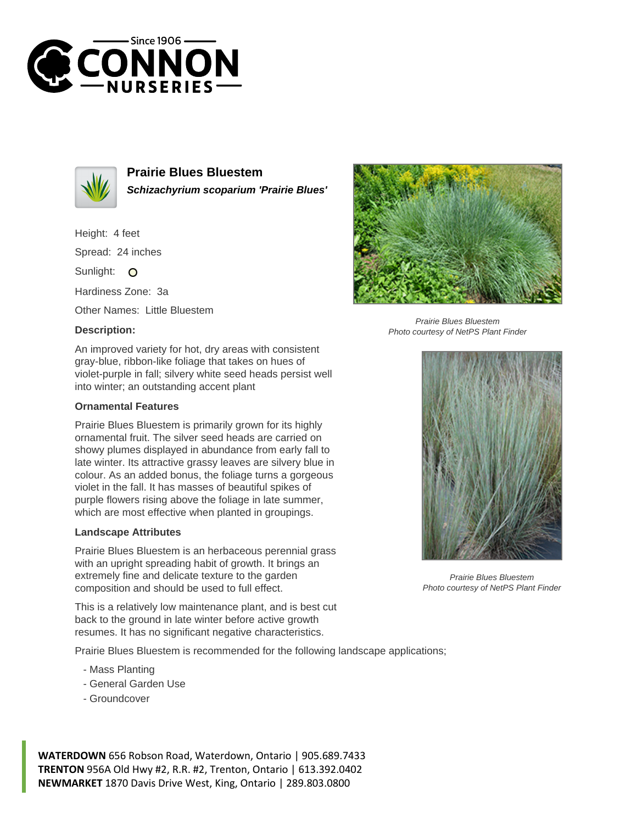



**Prairie Blues Bluestem Schizachyrium scoparium 'Prairie Blues'**

Height: 4 feet Spread: 24 inches

Sunlight: O

Hardiness Zone: 3a

Other Names: Little Bluestem

## **Description:**



## **Ornamental Features**

Prairie Blues Bluestem is primarily grown for its highly ornamental fruit. The silver seed heads are carried on showy plumes displayed in abundance from early fall to late winter. Its attractive grassy leaves are silvery blue in colour. As an added bonus, the foliage turns a gorgeous violet in the fall. It has masses of beautiful spikes of purple flowers rising above the foliage in late summer, which are most effective when planted in groupings.

## **Landscape Attributes**

Prairie Blues Bluestem is an herbaceous perennial grass with an upright spreading habit of growth. It brings an extremely fine and delicate texture to the garden composition and should be used to full effect.

This is a relatively low maintenance plant, and is best cut back to the ground in late winter before active growth resumes. It has no significant negative characteristics.

Prairie Blues Bluestem is recommended for the following landscape applications;

- Mass Planting
- General Garden Use
- Groundcover

**WATERDOWN** 656 Robson Road, Waterdown, Ontario | 905.689.7433 **TRENTON** 956A Old Hwy #2, R.R. #2, Trenton, Ontario | 613.392.0402 **NEWMARKET** 1870 Davis Drive West, King, Ontario | 289.803.0800



Prairie Blues Bluestem Photo courtesy of NetPS Plant Finder



Prairie Blues Bluestem Photo courtesy of NetPS Plant Finder